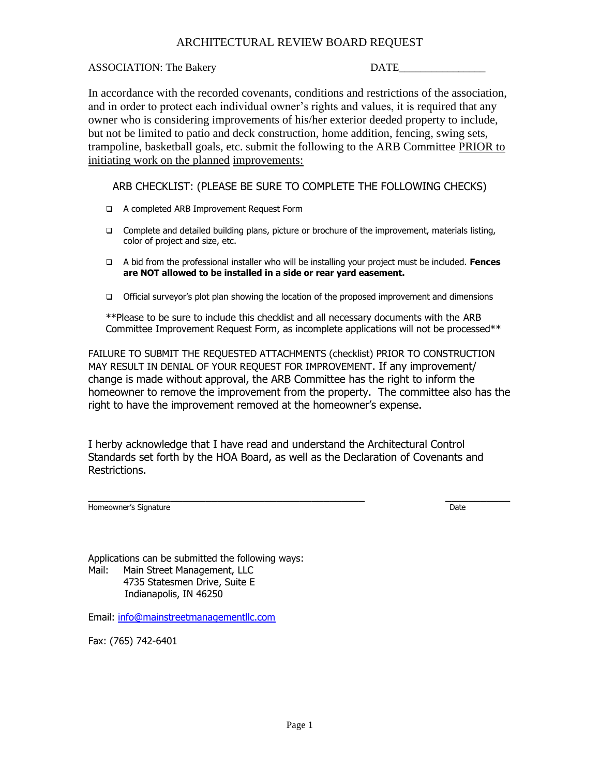## ARCHITECTURAL REVIEW BOARD REQUEST

## ASSOCIATION: The Bakery DATE

In accordance with the recorded covenants, conditions and restrictions of the association, and in order to protect each individual owner's rights and values, it is required that any owner who is considering improvements of his/her exterior deeded property to include, but not be limited to patio and deck construction, home addition, fencing, swing sets, trampoline, basketball goals, etc. submit the following to the ARB Committee PRIOR to initiating work on the planned improvements:

## ARB CHECKLIST: (PLEASE BE SURE TO COMPLETE THE FOLLOWING CHECKS)

- ❑ A completed ARB Improvement Request Form
- ❑ Complete and detailed building plans, picture or brochure of the improvement, materials listing, color of project and size, etc.
- ❑ A bid from the professional installer who will be installing your project must be included. **Fences are NOT allowed to be installed in a side or rear yard easement.**
- ❑ Official surveyor's plot plan showing the location of the proposed improvement and dimensions

\*\*Please to be sure to include this checklist and all necessary documents with the ARB Committee Improvement Request Form, as incomplete applications will not be processed\*\*

FAILURE TO SUBMIT THE REQUESTED ATTACHMENTS (checklist) PRIOR TO CONSTRUCTION MAY RESULT IN DENIAL OF YOUR REQUEST FOR IMPROVEMENT. If any improvement/ change is made without approval, the ARB Committee has the right to inform the homeowner to remove the improvement from the property. The committee also has the right to have the improvement removed at the homeowner's expense.

I herby acknowledge that I have read and understand the Architectural Control Standards set forth by the HOA Board, as well as the Declaration of Covenants and Restrictions.

Homeowner's Signature **Date Date Contract Contract Contract Contract Contract Contract Contract Contract Contract Contract Contract Contract Contract Contract Contract Contract Contract Contract Contract Contract Contr** 

\_\_\_\_\_\_\_\_\_\_\_\_\_\_\_\_\_\_\_\_\_\_\_\_\_\_\_\_\_\_\_\_\_\_\_\_\_\_\_\_\_\_\_\_\_\_\_ \_\_\_\_\_\_\_\_\_\_\_

Applications can be submitted the following ways: Mail: Main Street Management, LLC 4735 Statesmen Drive, Suite E Indianapolis, IN 46250

Email: [info@mainstreetmanagementllc.com](mailto:info@mainstreetmanagementllc.com)

Fax: (765) 742-6401